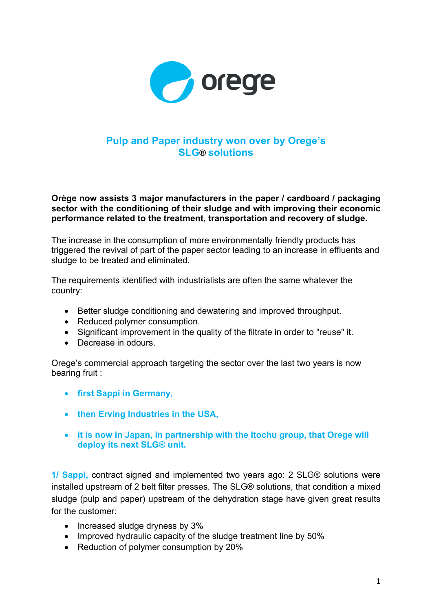

## **Pulp and Paper industry won over by Orege's SLG**® **solutions**

## **Orège now assists 3 major manufacturers in the paper / cardboard / packaging sector with the conditioning of their sludge and with improving their economic performance related to the treatment, transportation and recovery of sludge.**

The increase in the consumption of more environmentally friendly products has triggered the revival of part of the paper sector leading to an increase in effluents and sludge to be treated and eliminated.

The requirements identified with industrialists are often the same whatever the country:

- Better sludge conditioning and dewatering and improved throughput.
- Reduced polymer consumption.
- Significant improvement in the quality of the filtrate in order to "reuse" it.
- Decrease in odours

Orege's commercial approach targeting the sector over the last two years is now bearing fruit :

- **first Sappi in Germany,**
- **then Erving Industries in the USA,**
- **it is now in Japan, in partnership with the Itochu group, that Orege will deploy its next SLG® unit.**

**1/ Sappi,** contract signed and implemented two years ago: 2 SLG® solutions were installed upstream of 2 belt filter presses. The SLG® solutions, that condition a mixed sludge (pulp and paper) upstream of the dehydration stage have given great results for the customer:

- Increased sludge dryness by 3%
- Improved hydraulic capacity of the sludge treatment line by 50%
- Reduction of polymer consumption by 20%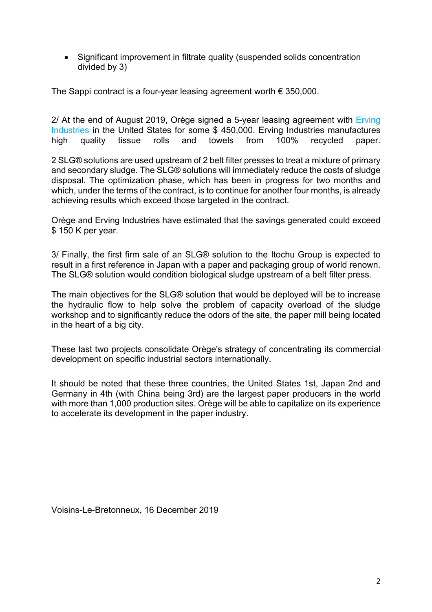• Significant improvement in filtrate quality (suspended solids concentration divided by 3)

The Sappi contract is a four-year leasing agreement worth  $\epsilon$  350,000.

2/ At the end of August 2019, Orège signed a 5-year leasing agreement with Erving Industries in the United States for some \$ 450,000. Erving Industries manufactures high quality tissue rolls and towels from 100% recycled paper.

2 SLG® solutions are used upstream of 2 belt filter presses to treat a mixture of primary and secondary sludge. The SLG® solutions will immediately reduce the costs of sludge disposal. The optimization phase, which has been in progress for two months and which, under the terms of the contract, is to continue for another four months, is already achieving results which exceed those targeted in the contract.

Orège and Erving Industries have estimated that the savings generated could exceed \$ 150 K per year.

3/ Finally, the first firm sale of an SLG® solution to the Itochu Group is expected to result in a first reference in Japan with a paper and packaging group of world renown. The SLG® solution would condition biological sludge upstream of a belt filter press.

The main objectives for the SLG® solution that would be deployed will be to increase the hydraulic flow to help solve the problem of capacity overload of the sludge workshop and to significantly reduce the odors of the site, the paper mill being located in the heart of a big city.

These last two projects consolidate Orège's strategy of concentrating its commercial development on specific industrial sectors internationally.

It should be noted that these three countries, the United States 1st, Japan 2nd and Germany in 4th (with China being 3rd) are the largest paper producers in the world with more than 1,000 production sites. Orège will be able to capitalize on its experience to accelerate its development in the paper industry.

Voisins-Le-Bretonneux, 16 December 2019